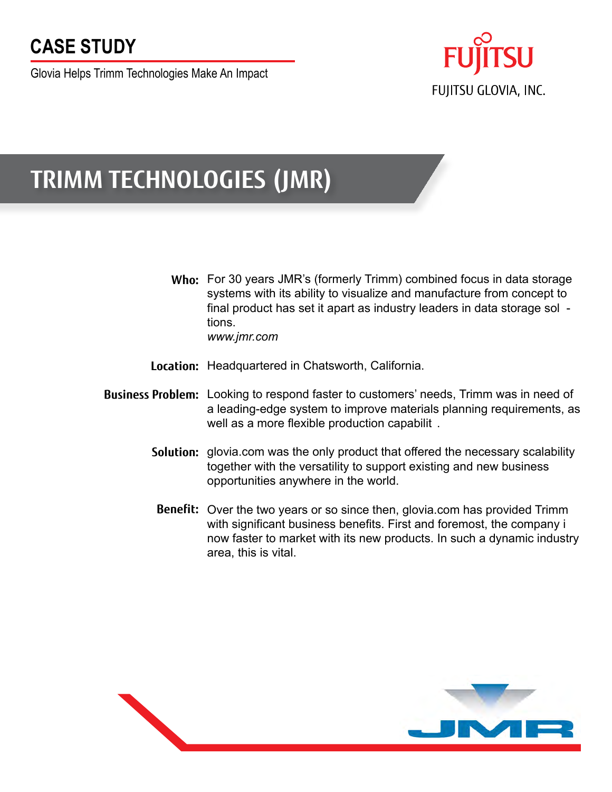## **CASE STUDY**

Glovia Helps Trimm Technologies Make An Impact



# **TRIMM TECHNOLOGIES (JMR)**

Who: For 30 years JMR's (formerly Trimm) combined focus in data storage systems with its ability to visualize and manufacture from concept to final product has set it apart as industry leaders in data storage sol tions.

*www.jmr.com*

- Location: Headquartered in Chatsworth, California.
- **Business Problem:** Looking to respond faster to customers' needs, Trimm was in need of a leading-edge system to improve materials planning requirements, as well as a more flexible production capabilit .
	- **Solution:** glovia.com was the only product that offered the necessary scalability together with the versatility to support existing and new business opportunities anywhere in the world.
	- Benefit: Over the two years or so since then, glovia.com has provided Trimm with significant business benefits. First and foremost, the company i now faster to market with its new products. In such a dynamic industry area, this is vital.

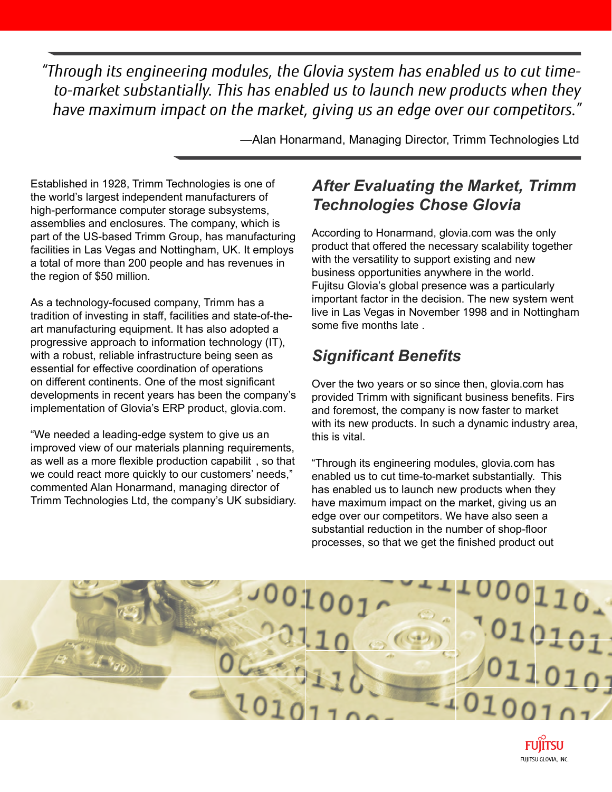*"Through its engineering modules, the Glovia system has enabled us to cut timeto-market substantially. This has enabled us to launch new products when they have maximum impact on the market, giving us an edge over our competitors."*

—Alan Honarmand, Managing Director, Trimm Technologies Ltd

Established in 1928, Trimm Technologies is one of the world's largest independent manufacturers of high-performance computer storage subsystems, assemblies and enclosures. The company, which is part of the US-based Trimm Group, has manufacturing facilities in Las Vegas and Nottingham, UK. It employs a total of more than 200 people and has revenues in the region of \$50 million.

As a technology-focused company, Trimm has a tradition of investing in staff, facilities and state-of-theart manufacturing equipment. It has also adopted a progressive approach to information technology (IT), with a robust, reliable infrastructure being seen as essential for effective coordination of operations on different continents. One of the most significant developments in recent years has been the company's implementation of Glovia's ERP product, glovia.com.

"We needed a leading-edge system to give us an improved view of our materials planning requirements, as well as a more flexible production capabilit , so that we could react more quickly to our customers' needs," commented Alan Honarmand, managing director of Trimm Technologies Ltd, the company's UK subsidiary.

#### *After Evaluating the Market, Trimm Technologies Chose Glovia*

According to Honarmand, glovia.com was the only product that offered the necessary scalability together with the versatility to support existing and new business opportunities anywhere in the world. Fujitsu Glovia's global presence was a particularly important factor in the decision. The new system went live in Las Vegas in November 1998 and in Nottingham some five months late .

### *Significant Benefits*

Over the two years or so since then, glovia.com has provided Trimm with significant business benefits. Firs and foremost, the company is now faster to market with its new products. In such a dynamic industry area, this is vital.

"Through its engineering modules, glovia.com has enabled us to cut time-to-market substantially. This has enabled us to launch new products when they have maximum impact on the market, giving us an edge over our competitors. We have also seen a substantial reduction in the number of shop-floor processes, so that we get the finished product out

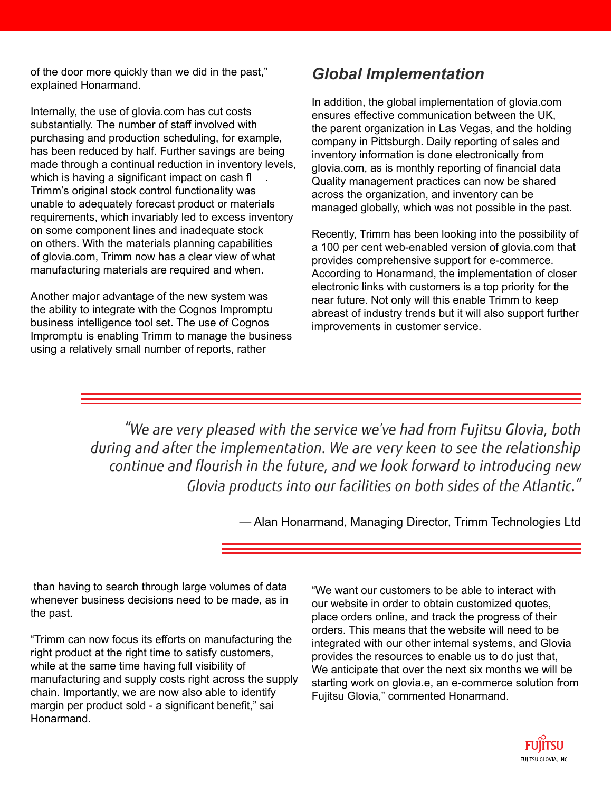of the door more quickly than we did in the past," explained Honarmand.

Internally, the use of glovia.com has cut costs substantially. The number of staff involved with purchasing and production scheduling, for example, has been reduced by half. Further savings are being made through a continual reduction in inventory levels, which is having a significant impact on cash fl Trimm's original stock control functionality was unable to adequately forecast product or materials requirements, which invariably led to excess inventory on some component lines and inadequate stock on others. With the materials planning capabilities of glovia.com, Trimm now has a clear view of what manufacturing materials are required and when.

Another major advantage of the new system was the ability to integrate with the Cognos Impromptu business intelligence tool set. The use of Cognos Impromptu is enabling Trimm to manage the business using a relatively small number of reports, rather

#### *Global Implementation*

In addition, the global implementation of glovia.com ensures effective communication between the UK, the parent organization in Las Vegas, and the holding company in Pittsburgh. Daily reporting of sales and inventory information is done electronically from glovia.com, as is monthly reporting of financial data Quality management practices can now be shared across the organization, and inventory can be managed globally, which was not possible in the past.

Recently, Trimm has been looking into the possibility of a 100 per cent web-enabled version of glovia.com that provides comprehensive support for e-commerce. According to Honarmand, the implementation of closer electronic links with customers is a top priority for the near future. Not only will this enable Trimm to keep abreast of industry trends but it will also support further improvements in customer service.

*"We are very pleased with the service we've had from Fujitsu Glovia, both*  during and after the implementation. We are very keen to see the relationship *continue and flourish in the future, and we look forward to introducing new Glovia products into our facilities on both sides of the Atlantic."*

— Alan Honarmand, Managing Director, Trimm Technologies Ltd

 than having to search through large volumes of data whenever business decisions need to be made, as in the past.

"Trimm can now focus its efforts on manufacturing the right product at the right time to satisfy customers, while at the same time having full visibility of manufacturing and supply costs right across the supply chain. Importantly, we are now also able to identify margin per product sold - a significant benefit," sai Honarmand.

"We want our customers to be able to interact with our website in order to obtain customized quotes, place orders online, and track the progress of their orders. This means that the website will need to be integrated with our other internal systems, and Glovia provides the resources to enable us to do just that, We anticipate that over the next six months we will be starting work on glovia.e, an e-commerce solution from Fujitsu Glovia," commented Honarmand.